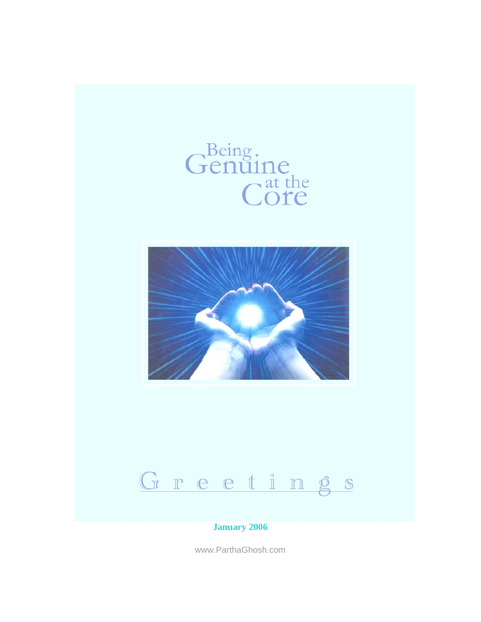





#### **January 2006**

www.ParthaGhosh.com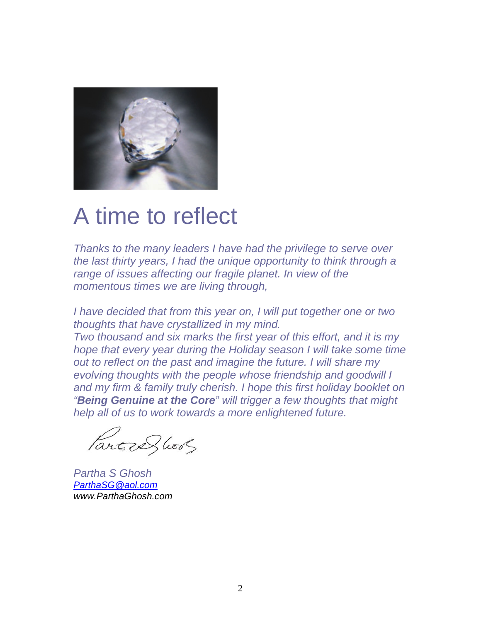

#### A time to reflect

*Thanks to the many leaders I have had the privilege to serve over the last thirty years, I had the unique opportunity to think through a range of issues affecting our fragile planet. In view of the momentous times we are living through,* 

*I have decided that from this year on, I will put together one or two thoughts that have crystallized in my mind.* 

*Two thousand and six marks the first year of this effort, and it is my hope that every year during the Holiday season I will take some time out to reflect on the past and imagine the future. I will share my evolving thoughts with the people whose friendship and goodwill I and my firm & family truly cherish. I hope this first holiday booklet on "Being Genuine at the Core" will trigger a few thoughts that might help all of us to work towards a more enlightened future.* 

Parted hood

*Partha S Ghosh ParthaSG@aol.com www.ParthaGhosh.com*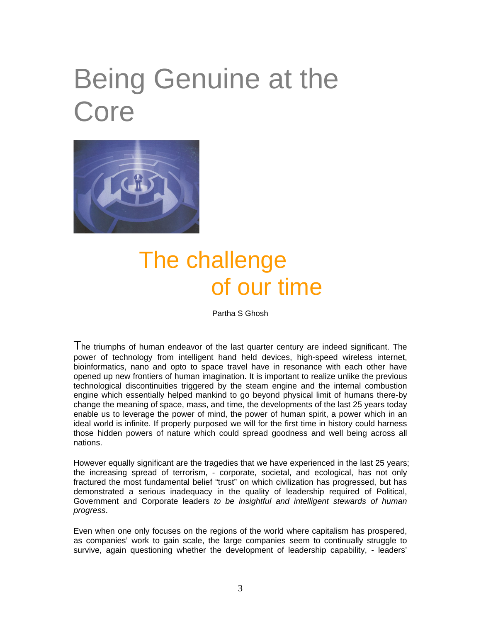# Being Genuine at the Core



#### The challenge of our time

Partha S Ghosh

The triumphs of human endeavor of the last quarter century are indeed significant. The power of technology from intelligent hand held devices, high-speed wireless internet, bioinformatics, nano and opto to space travel have in resonance with each other have opened up new frontiers of human imagination. It is important to realize unlike the previous technological discontinuities triggered by the steam engine and the internal combustion engine which essentially helped mankind to go beyond physical limit of humans there-by change the meaning of space, mass, and time, the developments of the last 25 years today enable us to leverage the power of mind, the power of human spirit, a power which in an ideal world is infinite. If properly purposed we will for the first time in history could harness those hidden powers of nature which could spread goodness and well being across all nations.

However equally significant are the tragedies that we have experienced in the last 25 years; the increasing spread of terrorism, - corporate, societal, and ecological, has not only fractured the most fundamental belief "trust" on which civilization has progressed, but has demonstrated a serious inadequacy in the quality of leadership required of Political, Government and Corporate leaders *to be insightful and intelligent stewards of human progress*.

Even when one only focuses on the regions of the world where capitalism has prospered, as companies' work to gain scale, the large companies seem to continually struggle to survive, again questioning whether the development of leadership capability, - leaders'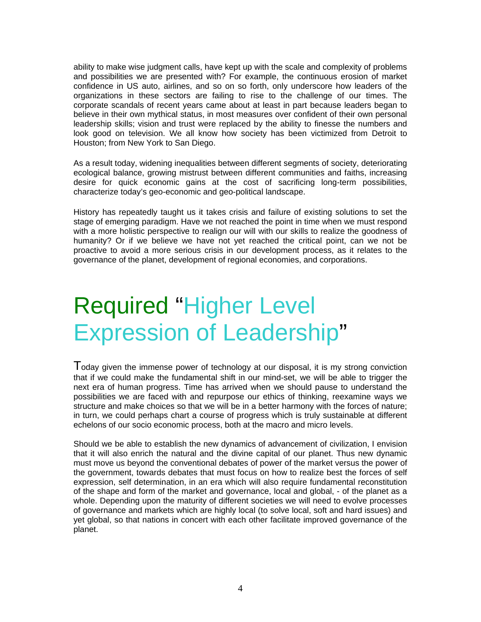ability to make wise judgment calls, have kept up with the scale and complexity of problems and possibilities we are presented with? For example, the continuous erosion of market confidence in US auto, airlines, and so on so forth, only underscore how leaders of the organizations in these sectors are failing to rise to the challenge of our times. The corporate scandals of recent years came about at least in part because leaders began to believe in their own mythical status, in most measures over confident of their own personal leadership skills; vision and trust were replaced by the ability to finesse the numbers and look good on television. We all know how society has been victimized from Detroit to Houston; from New York to San Diego.

As a result today, widening inequalities between different segments of society, deteriorating ecological balance, growing mistrust between different communities and faiths, increasing desire for quick economic gains at the cost of sacrificing long-term possibilities, characterize today's geo-economic and geo-political landscape.

History has repeatedly taught us it takes crisis and failure of existing solutions to set the stage of emerging paradigm. Have we not reached the point in time when we must respond with a more holistic perspective to realign our will with our skills to realize the goodness of humanity? Or if we believe we have not yet reached the critical point, can we not be proactive to avoid a more serious crisis in our development process, as it relates to the governance of the planet, development of regional economies, and corporations.

### Required "Higher Level Expression of Leadership"

Today given the immense power of technology at our disposal, it is my strong conviction that if we could make the fundamental shift in our mind-set, we will be able to trigger the next era of human progress. Time has arrived when we should pause to understand the possibilities we are faced with and repurpose our ethics of thinking, reexamine ways we structure and make choices so that we will be in a better harmony with the forces of nature; in turn, we could perhaps chart a course of progress which is truly sustainable at different echelons of our socio economic process, both at the macro and micro levels.

Should we be able to establish the new dynamics of advancement of civilization, I envision that it will also enrich the natural and the divine capital of our planet. Thus new dynamic must move us beyond the conventional debates of power of the market versus the power of the government, towards debates that must focus on how to realize best the forces of self expression, self determination, in an era which will also require fundamental reconstitution of the shape and form of the market and governance, local and global, - of the planet as a whole. Depending upon the maturity of different societies we will need to evolve processes of governance and markets which are highly local (to solve local, soft and hard issues) and yet global, so that nations in concert with each other facilitate improved governance of the planet.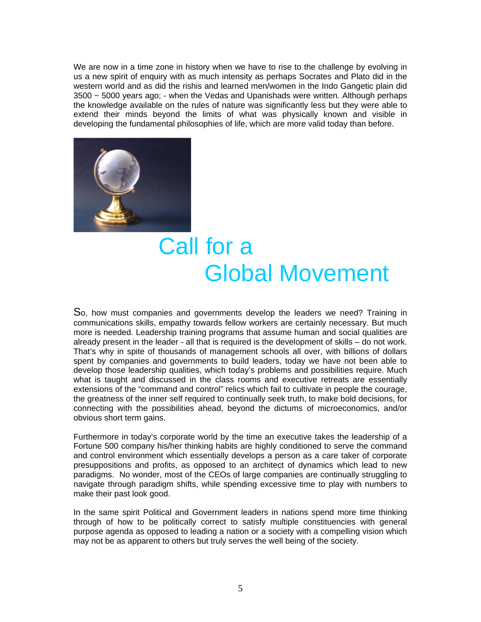We are now in a time zone in history when we have to rise to the challenge by evolving in us a new spirit of enquiry with as much intensity as perhaps Socrates and Plato did in the western world and as did the rishis and learned men/women in the Indo Gangetic plain did 3500 ~ 5000 years ago; - when the Vedas and Upanishads were written. Although perhaps the knowledge available on the rules of nature was significantly less but they were able to extend their minds beyond the limits of what was physically known and visible in developing the fundamental philosophies of life, which are more valid today than before.



#### Call for a Global Movement

So, how must companies and governments develop the leaders we need? Training in communications skills, empathy towards fellow workers are certainly necessary. But much more is needed. Leadership training programs that assume human and social qualities are already present in the leader - all that is required is the development of skills – do not work. That's why in spite of thousands of management schools all over, with billions of dollars spent by companies and governments to build leaders, today we have not been able to develop those leadership qualities, which today's problems and possibilities require. Much what is taught and discussed in the class rooms and executive retreats are essentially extensions of the "command and control" relics which fail to cultivate in people the courage, the greatness of the inner self required to continually seek truth, to make bold decisions, for connecting with the possibilities ahead, beyond the dictums of microeconomics, and/or obvious short term gains.

Furthermore in today's corporate world by the time an executive takes the leadership of a Fortune 500 company his/her thinking habits are highly conditioned to serve the command and control environment which essentially develops a person as a care taker of corporate presuppositions and profits, as opposed to an architect of dynamics which lead to new paradigms. No wonder, most of the CEOs of large companies are continually struggling to navigate through paradigm shifts, while spending excessive time to play with numbers to make their past look good.

In the same spirit Political and Government leaders in nations spend more time thinking through of how to be politically correct to satisfy multiple constituencies with general purpose agenda as opposed to leading a nation or a society with a compelling vision which may not be as apparent to others but truly serves the well being of the society.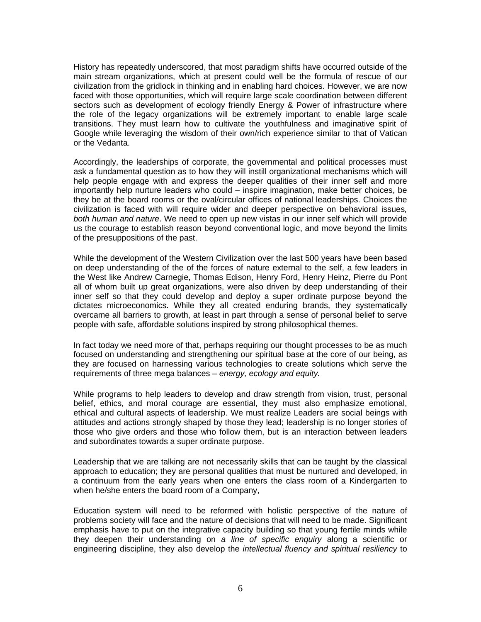History has repeatedly underscored, that most paradigm shifts have occurred outside of the main stream organizations, which at present could well be the formula of rescue of our civilization from the gridlock in thinking and in enabling hard choices. However, we are now faced with those opportunities, which will require large scale coordination between different sectors such as development of ecology friendly Energy & Power of infrastructure where the role of the legacy organizations will be extremely important to enable large scale transitions. They must learn how to cultivate the youthfulness and imaginative spirit of Google while leveraging the wisdom of their own/rich experience similar to that of Vatican or the Vedanta.

Accordingly, the leaderships of corporate, the governmental and political processes must ask a fundamental question as to how they will instill organizational mechanisms which will help people engage with and express the deeper qualities of their inner self and more importantly help nurture leaders who could – inspire imagination, make better choices, be they be at the board rooms or the oval/circular offices of national leaderships. Choices the civilization is faced with will require wider and deeper perspective on behavioral issues*, both human and nature*. We need to open up new vistas in our inner self which will provide us the courage to establish reason beyond conventional logic, and move beyond the limits of the presuppositions of the past.

While the development of the Western Civilization over the last 500 years have been based on deep understanding of the of the forces of nature external to the self, a few leaders in the West like Andrew Carnegie, Thomas Edison, Henry Ford, Henry Heinz, Pierre du Pont all of whom built up great organizations, were also driven by deep understanding of their inner self so that they could develop and deploy a super ordinate purpose beyond the dictates microeconomics. While they all created enduring brands, they systematically overcame all barriers to growth, at least in part through a sense of personal belief to serve people with safe, affordable solutions inspired by strong philosophical themes.

In fact today we need more of that, perhaps requiring our thought processes to be as much focused on understanding and strengthening our spiritual base at the core of our being, as they are focused on harnessing various technologies to create solutions which serve the requirements of three mega balances – *energy, ecology and equity.*

While programs to help leaders to develop and draw strength from vision, trust, personal belief, ethics, and moral courage are essential, they must also emphasize emotional, ethical and cultural aspects of leadership. We must realize Leaders are social beings with attitudes and actions strongly shaped by those they lead; leadership is no longer stories of those who give orders and those who follow them, but is an interaction between leaders and subordinates towards a super ordinate purpose.

Leadership that we are talking are not necessarily skills that can be taught by the classical approach to education; they are personal qualities that must be nurtured and developed, in a continuum from the early years when one enters the class room of a Kindergarten to when he/she enters the board room of a Company,

Education system will need to be reformed with holistic perspective of the nature of problems society will face and the nature of decisions that will need to be made. Significant emphasis have to put on the integrative capacity building so that young fertile minds while they deepen their understanding on *a line of specific enquiry* along a scientific or engineering discipline, they also develop the *intellectual fluency and spiritual resiliency* to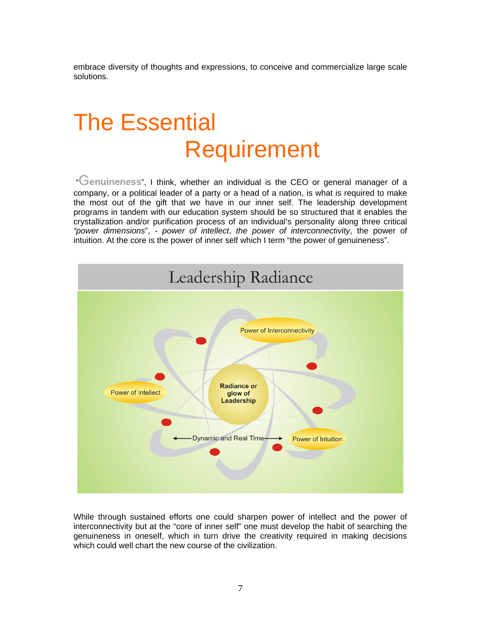embrace diversity of thoughts and expressions, to conceive and commercialize large scale solutions.

## The Essential Requirement

"G**enuineness**", I think, whether an individual is the CEO or general manager of a company, or a political leader of a party or a head of a nation, is what is required to make the most out of the gift that we have in our inner self. The leadership development programs in tandem with our education system should be so structured that it enables the crystallization and/or purification process of an individual's personality along three critical *"power dimensions*", - *power of intellect*, *the power of interconnectivity*, the power of intuition. At the core is the power of inner self which I term "the power of genuineness".



While through sustained efforts one could sharpen power of intellect and the power of interconnectivity but at the "core of inner self" one must develop the habit of searching the genuineness in oneself, which in turn drive the creativity required in making decisions which could well chart the new course of the civilization.